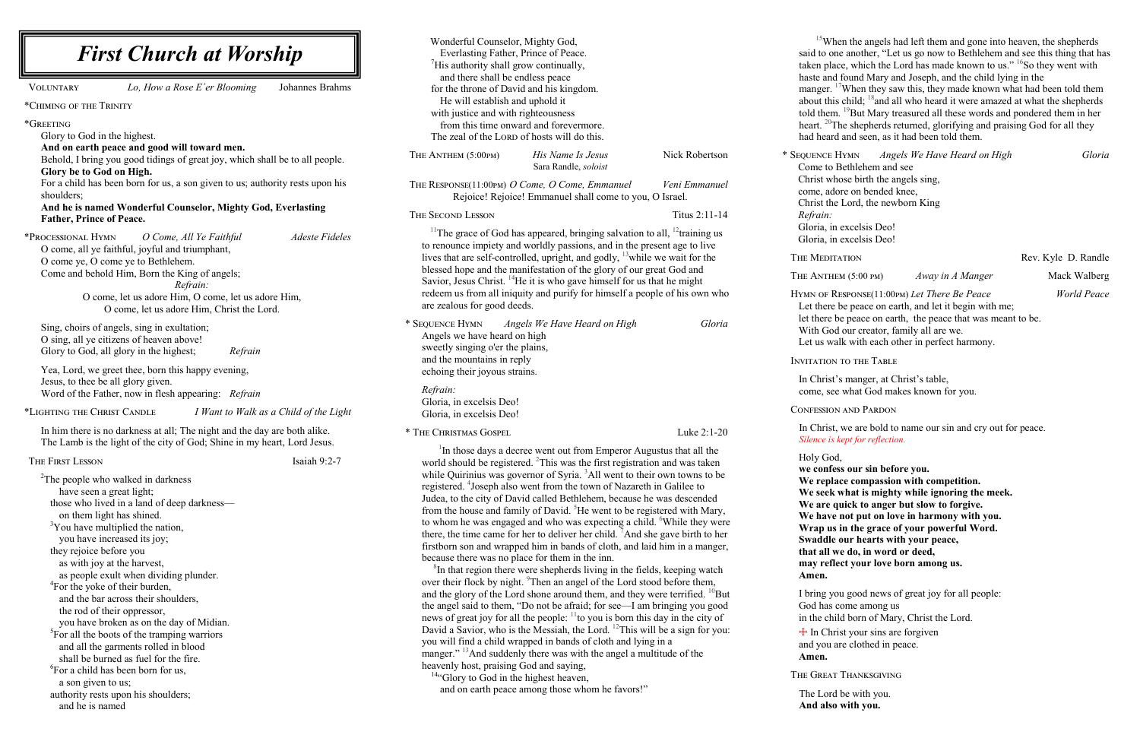<sup>15</sup>When the angels had left them and gone into heaven, the shepherds said to one another, "Let us go now to Bethlehem and see this thing that has taken place, which the Lord has made known to us." <sup>16</sup>So they went with haste and found Mary and Joseph, and the child lying in the

manger. <sup>17</sup>When they saw this, they made known what had been told them about this child;  $18$  and all who heard it were amazed at what the shepherds told them. <sup>19</sup>But Mary treasured all these words and pondered them in her heart. <sup>20</sup>The shepherds returned, glorifying and praising God for all they had heard and seen, as it had been told them.

| <b>First Church at Worship</b>                                                                                                                                                                                                                                                                                                                                                                                                                                                                                                                                                                                                                                                                                                                                                                           | Wonderful Counselor, Mighty God,<br>Everlasting Father, Prince of Peace.<br>$\mathrm{His}$ authority shall grow continually,                                                                                                                                                                                                                                                                                                                                                                                                                                                                                                                                                                                                                                                                                                                                                                                                                                                                                                                                                                                                                                                                                                                                                                                                                                                                                                                                                                                                                                                                             |
|----------------------------------------------------------------------------------------------------------------------------------------------------------------------------------------------------------------------------------------------------------------------------------------------------------------------------------------------------------------------------------------------------------------------------------------------------------------------------------------------------------------------------------------------------------------------------------------------------------------------------------------------------------------------------------------------------------------------------------------------------------------------------------------------------------|----------------------------------------------------------------------------------------------------------------------------------------------------------------------------------------------------------------------------------------------------------------------------------------------------------------------------------------------------------------------------------------------------------------------------------------------------------------------------------------------------------------------------------------------------------------------------------------------------------------------------------------------------------------------------------------------------------------------------------------------------------------------------------------------------------------------------------------------------------------------------------------------------------------------------------------------------------------------------------------------------------------------------------------------------------------------------------------------------------------------------------------------------------------------------------------------------------------------------------------------------------------------------------------------------------------------------------------------------------------------------------------------------------------------------------------------------------------------------------------------------------------------------------------------------------------------------------------------------------|
| Johannes Brahms<br>Lo, How a Rose E'er Blooming<br><b>VOLUNTARY</b>                                                                                                                                                                                                                                                                                                                                                                                                                                                                                                                                                                                                                                                                                                                                      | and there shall be endless peace<br>for the throne of David and his kingdom.                                                                                                                                                                                                                                                                                                                                                                                                                                                                                                                                                                                                                                                                                                                                                                                                                                                                                                                                                                                                                                                                                                                                                                                                                                                                                                                                                                                                                                                                                                                             |
| *CHIMING OF THE TRINITY                                                                                                                                                                                                                                                                                                                                                                                                                                                                                                                                                                                                                                                                                                                                                                                  | He will establish and uphold it                                                                                                                                                                                                                                                                                                                                                                                                                                                                                                                                                                                                                                                                                                                                                                                                                                                                                                                                                                                                                                                                                                                                                                                                                                                                                                                                                                                                                                                                                                                                                                          |
| *GREETING<br>Glory to God in the highest.                                                                                                                                                                                                                                                                                                                                                                                                                                                                                                                                                                                                                                                                                                                                                                | with justice and with righteousness<br>from this time onward and forevermore.<br>The zeal of the LORD of hosts will do this.                                                                                                                                                                                                                                                                                                                                                                                                                                                                                                                                                                                                                                                                                                                                                                                                                                                                                                                                                                                                                                                                                                                                                                                                                                                                                                                                                                                                                                                                             |
| And on earth peace and good will toward men.<br>Behold, I bring you good tidings of great joy, which shall be to all people.<br>Glory be to God on High.                                                                                                                                                                                                                                                                                                                                                                                                                                                                                                                                                                                                                                                 | Nick Robertson<br>His Name Is Jesus<br>THE ANTHEM (5:00PM)<br>Sara Randle, soloist                                                                                                                                                                                                                                                                                                                                                                                                                                                                                                                                                                                                                                                                                                                                                                                                                                                                                                                                                                                                                                                                                                                                                                                                                                                                                                                                                                                                                                                                                                                       |
| For a child has been born for us, a son given to us; authority rests upon his<br>shoulders;                                                                                                                                                                                                                                                                                                                                                                                                                                                                                                                                                                                                                                                                                                              | THE RESPONSE(11:00PM) O Come, O Come, Emmanuel<br>Veni Emmanuel<br>Rejoice! Rejoice! Emmanuel shall come to you, O Israel.                                                                                                                                                                                                                                                                                                                                                                                                                                                                                                                                                                                                                                                                                                                                                                                                                                                                                                                                                                                                                                                                                                                                                                                                                                                                                                                                                                                                                                                                               |
| And he is named Wonderful Counselor, Mighty God, Everlasting<br><b>Father, Prince of Peace.</b>                                                                                                                                                                                                                                                                                                                                                                                                                                                                                                                                                                                                                                                                                                          | THE SECOND LESSON<br>Titus 2:11-14                                                                                                                                                                                                                                                                                                                                                                                                                                                                                                                                                                                                                                                                                                                                                                                                                                                                                                                                                                                                                                                                                                                                                                                                                                                                                                                                                                                                                                                                                                                                                                       |
| *PROCESSIONAL HYMN<br><b>Adeste Fideles</b><br>O Come, All Ye Faithful<br>O come, all ye faithful, joyful and triumphant,<br>O come ye, O come ye to Bethlehem.<br>Come and behold Him, Born the King of angels;<br>Refrain:<br>O come, let us adore Him, O come, let us adore Him,<br>O come, let us adore Him, Christ the Lord.                                                                                                                                                                                                                                                                                                                                                                                                                                                                        | <sup>11</sup> The grace of God has appeared, bringing salvation to all, <sup>12</sup> training us<br>to renounce impiety and worldly passions, and in the present age to live<br>lives that are self-controlled, upright, and godly, <sup>13</sup> while we wait for the<br>blessed hope and the manifestation of the glory of our great God and<br>Savior, Jesus Christ. <sup>14</sup> He it is who gave himself for us that he might<br>redeem us from all iniquity and purify for himself a people of his own who<br>are zealous for good deeds.                                                                                                                                                                                                                                                                                                                                                                                                                                                                                                                                                                                                                                                                                                                                                                                                                                                                                                                                                                                                                                                      |
| Sing, choirs of angels, sing in exultation;<br>O sing, all ye citizens of heaven above!<br>Glory to God, all glory in the highest;<br>Refrain                                                                                                                                                                                                                                                                                                                                                                                                                                                                                                                                                                                                                                                            | * SEQUENCE HYMN<br>Angels We Have Heard on High<br>Gloria<br>Angels we have heard on high<br>sweetly singing o'er the plains,<br>and the mountains in reply                                                                                                                                                                                                                                                                                                                                                                                                                                                                                                                                                                                                                                                                                                                                                                                                                                                                                                                                                                                                                                                                                                                                                                                                                                                                                                                                                                                                                                              |
| Yea, Lord, we greet thee, born this happy evening,<br>Jesus, to thee be all glory given.<br>Word of the Father, now in flesh appearing: Refrain                                                                                                                                                                                                                                                                                                                                                                                                                                                                                                                                                                                                                                                          | echoing their joyous strains.<br>Refrain:<br>Gloria, in excelsis Deo!                                                                                                                                                                                                                                                                                                                                                                                                                                                                                                                                                                                                                                                                                                                                                                                                                                                                                                                                                                                                                                                                                                                                                                                                                                                                                                                                                                                                                                                                                                                                    |
| *LIGHTING THE CHRIST CANDLE<br>I Want to Walk as a Child of the Light                                                                                                                                                                                                                                                                                                                                                                                                                                                                                                                                                                                                                                                                                                                                    | Gloria, in excelsis Deo!                                                                                                                                                                                                                                                                                                                                                                                                                                                                                                                                                                                                                                                                                                                                                                                                                                                                                                                                                                                                                                                                                                                                                                                                                                                                                                                                                                                                                                                                                                                                                                                 |
| In him there is no darkness at all; The night and the day are both alike.<br>The Lamb is the light of the city of God; Shine in my heart, Lord Jesus.                                                                                                                                                                                                                                                                                                                                                                                                                                                                                                                                                                                                                                                    | * THE CHRISTMAS GOSPEL<br>Luke 2:1-20<br><sup>1</sup> In those days a decree went out from Emperor Augustus that all the                                                                                                                                                                                                                                                                                                                                                                                                                                                                                                                                                                                                                                                                                                                                                                                                                                                                                                                                                                                                                                                                                                                                                                                                                                                                                                                                                                                                                                                                                 |
| Isaiah 9:2-7<br>THE FIRST LESSON<br><sup>2</sup> The people who walked in darkness<br>have seen a great light;<br>those who lived in a land of deep darkness-<br>on them light has shined.<br><sup>3</sup> You have multiplied the nation,<br>you have increased its joy;<br>they rejoice before you<br>as with joy at the harvest,<br>as people exult when dividing plunder.<br><sup>4</sup> For the yoke of their burden,<br>and the bar across their shoulders,<br>the rod of their oppressor,<br>you have broken as on the day of Midian.<br><sup>5</sup> For all the boots of the tramping warriors<br>and all the garments rolled in blood<br>shall be burned as fuel for the fire.<br><sup>6</sup> For a child has been born for us,<br>a son given to us;<br>authority rests upon his shoulders; | world should be registered. <sup>2</sup> This was the first registration and was taken<br>while Quirinius was governor of Syria. <sup>3</sup> All went to their own towns to be<br>registered. <sup>4</sup> Joseph also went from the town of Nazareth in Galilee to<br>Judea, to the city of David called Bethlehem, because he was descended<br>from the house and family of David. <sup>5</sup> He went to be registered with Mary,<br>to whom he was engaged and who was expecting a child. <sup>6</sup> While they were<br>there, the time came for her to deliver her child. <sup>7</sup> And she gave birth to her<br>firstborn son and wrapped him in bands of cloth, and laid him in a manger,<br>because there was no place for them in the inn.<br><sup>8</sup> In that region there were shepherds living in the fields, keeping watch<br>over their flock by night. Then an angel of the Lord stood before them,<br>and the glory of the Lord shone around them, and they were terrified. <sup>10</sup> But<br>the angel said to them, "Do not be afraid; for see—I am bringing you good<br>news of great joy for all the people: <sup>11</sup> to you is born this day in the city of<br>David a Savior, who is the Messiah, the Lord. <sup>12</sup> This will be a sign for you:<br>you will find a child wrapped in bands of cloth and lying in a<br>manger." <sup>13</sup> And suddenly there was with the angel a multitude of the<br>heavenly host, praising God and saying,<br><sup>14</sup> "Glory to God in the highest heaven,<br>and on earth peace among those whom he favors!" |

\* Sequence Hymn *Angels We Have Heard on High Gloria* Come to Bethlehem and see Christ whose birth the angels sing, come, adore on bended knee,

Christ the Lord, the newborn King

*Refrain:*

THE MEDITATION Rev. Kyle D. Randle

THE ANTHEM (5:00 PM) *Away in A Manger* Mack Walberg

Gloria, in excelsis Deo! Gloria, in excelsis Deo!

Hymn of Response(11:00pm) *Let There Be Peace World Peace* Let there be peace on earth, and let it begin with me; let there be peace on earth, the peace that was meant to be. With God our creator, family all are we. Let us walk with each other in perfect harmony.

Invitation to the Table

In Christ's manger, at Christ's table, come, see what God makes known for you.

Confession and Pardon

In Christ, we are bold to name our sin and cry out for peace. *Silence is kept for reflection.*

Holy God,

**we confess our sin before you. We replace compassion with competition. We seek what is mighty while ignoring the meek. We are quick to anger but slow to forgive. We have not put on love in harmony with you. Wrap us in the grace of your powerful Word. Swaddle our hearts with your peace, that all we do, in word or deed, may reflect your love born among us.**

**Amen.**

I bring you good news of great joy for all people: God has come among us in the child born of Mary, Christ the Lord.  $+$  In Christ your sins are forgiven and you are clothed in peace.

**Amen.**

The Great Thanksgiving

The Lord be with you. **And also with you.**